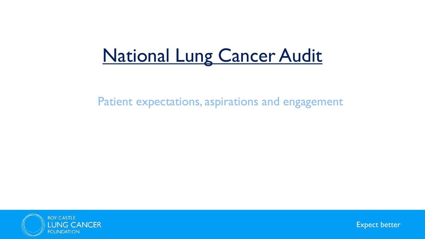# **National Lung Cancer Audit**

Patient expectations, aspirations and engagement



Expect better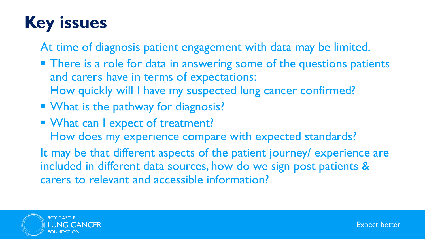# **Key issues**

At time of diagnosis patient engagement with data may be limited.

- There is a role for data in answering some of the questions patients and carers have in terms of expectations: How quickly will I have my suspected lung cancer confirmed?
- **What is the pathway for diagnosis?**
- What can I expect of treatment? How does my experience compare with expected standards? It may be that different aspects of the patient journey/ experience are included in different data sources, how do we sign post patients & carers to relevant and accessible information?

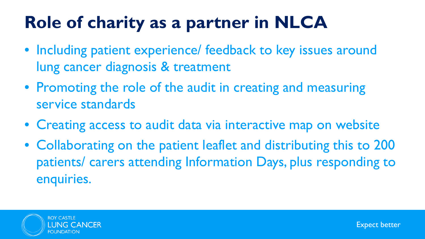# **Role of charity as a partner in NLCA**

- Including patient experience/ feedback to key issues around lung cancer diagnosis & treatment
- Promoting the role of the audit in creating and measuring service standards
- Creating access to audit data via interactive map on website
- Collaborating on the patient leaflet and distributing this to 200 patients/ carers attending Information Days, plus responding to enquiries.

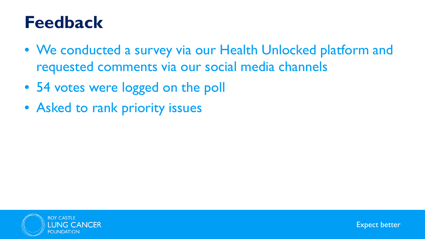#### **Feedback**

- We conducted a survey via our Health Unlocked platform and requested comments via our social media channels
- 54 votes were logged on the poll
- Asked to rank priority issues



Expect better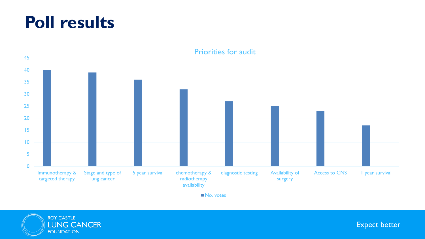



Priorities for audit

No. votes



Expect better